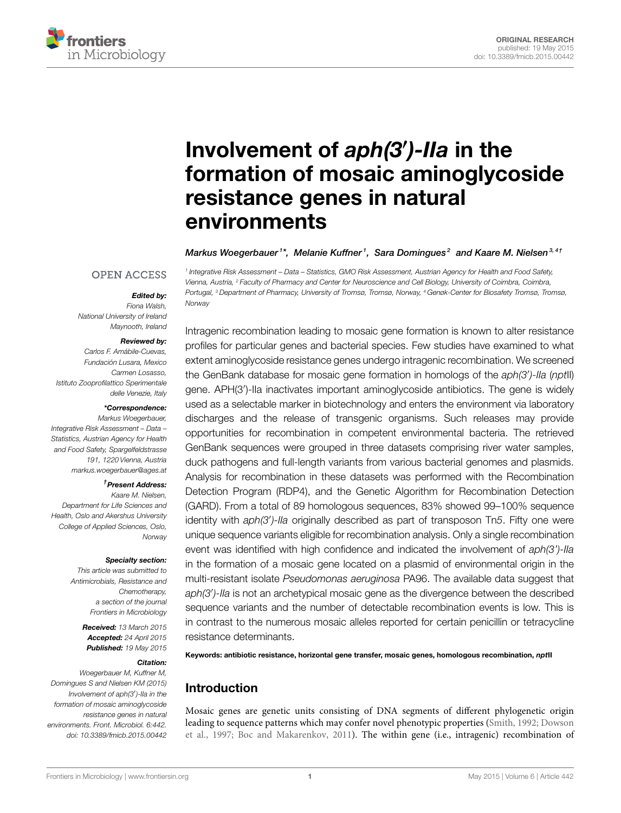

# Involvement of *aph(3*′ *)-IIa* in the [formation of mosaic aminoglycoside](http://journal.frontiersin.org/article/10.3389/fmicb.2015.00442/abstract) resistance genes in natural environments

[Markus Woegerbauer](http://community.frontiersin.org/people/u/217578)1\*, Melanie Kuffner<sup>1</sup>,  [Sara Domingues](http://community.frontiersin.org/people/u/222244)<sup>2</sup> and [Kaare M. Nielsen](http://community.frontiersin.org/people/u/39522)<sup>3,41</sup>

1 Integrative Risk Assessment – Data – Statistics, GMO Risk Assessment, Austrian Agency for Health and Food Safety, Vienna, Austria, <sup>2</sup> Faculty of Pharmacy and Center for Neuroscience and Cell Biology, University of Coimbra, Coimbra, Portugal, <sup>3</sup> Department of Pharmacy, University of Tromsø, Tromsø, Norway, <sup>4</sup> Genøk-Center for Biosafety Tromsø, Tromsø,

#### **OPEN ACCESS**

## *Edited by:*

Norway

Fiona Walsh, National University of Ireland Maynooth, Ireland

#### *Reviewed by:*

Carlos F. Amábile-Cuevas, Fundación Lusara, Mexico Carmen Losasso, Istituto Zooprofilattico Sperimentale delle Venezie, Italy

#### *\*Correspondence:*

Markus Woegerbauer, Integrative Risk Assessment – Data – Statistics, Austrian Agency for Health and Food Safety, Spargelfeldstrasse 191, 1220 Vienna, Austria [markus.woegerbauer@ages.at](mailto:markus.woegerbauer@ages.at)

#### †*Present Address:*

Kaare M. Nielsen, Department for Life Sciences and Health, Oslo and Akershus University College of Applied Sciences, Oslo, **Norway** 

#### *Specialty section:*

This article was submitted to Antimicrobials, Resistance and Chemotherapy, a section of the journal Frontiers in Microbiology

> *Received:* 13 March 2015 *Accepted:* 24 April 2015 *Published:* 19 May 2015

#### *Citation:*

Woegerbauer M, Kuffner M, Domingues S and Nielsen KM (2015) Involvement of aph(3′ )-IIa in the formation of mosaic aminoglycoside resistance genes in natural environments. Front. Microbiol. 6:442. doi: [10.3389/fmicb.2015.00442](http://dx.doi.org/10.3389/fmicb.2015.00442)

Intragenic recombination leading to mosaic gene formation is known to alter resistance profiles for particular genes and bacterial species. Few studies have examined to what extent aminoglycoside resistance genes undergo intragenic recombination. We screened the GenBank database for mosaic gene formation in homologs of the aph(3')-lla (nptll) gene. APH(3′ )-IIa inactivates important aminoglycoside antibiotics. The gene is widely used as a selectable marker in biotechnology and enters the environment via laboratory discharges and the release of transgenic organisms. Such releases may provide opportunities for recombination in competent environmental bacteria. The retrieved GenBank sequences were grouped in three datasets comprising river water samples, duck pathogens and full-length variants from various bacterial genomes and plasmids. Analysis for recombination in these datasets was performed with the Recombination Detection Program (RDP4), and the Genetic Algorithm for Recombination Detection (GARD). From a total of 89 homologous sequences, 83% showed 99–100% sequence identity with aph(3')-lla originally described as part of transposon Tn5. Fifty one were unique sequence variants eligible for recombination analysis. Only a single recombination event was identified with high confidence and indicated the involvement of  $aph(3')$ -lla in the formation of a mosaic gene located on a plasmid of environmental origin in the multi-resistant isolate Pseudomonas aeruginosa PA96. The available data suggest that aph(3')-Ila is not an archetypical mosaic gene as the divergence between the described sequence variants and the number of detectable recombination events is low. This is in contrast to the numerous mosaic alleles reported for certain penicillin or tetracycline resistance determinants.

Keywords: antibiotic resistance, horizontal gene transfer, mosaic genes, homologous recombination, *npt*II

# Introduction

Mosaic genes are genetic units consisting of DNA segments of different phylogenetic origin leading to sequence patterns which may confer novel phenotypic properties [\(Smith, 1992;](#page-11-0) Dowson et al., [1997;](#page-10-0) [Boc and Makarenkov, 2011\)](#page-9-0). The within gene (i.e., intragenic) recombination of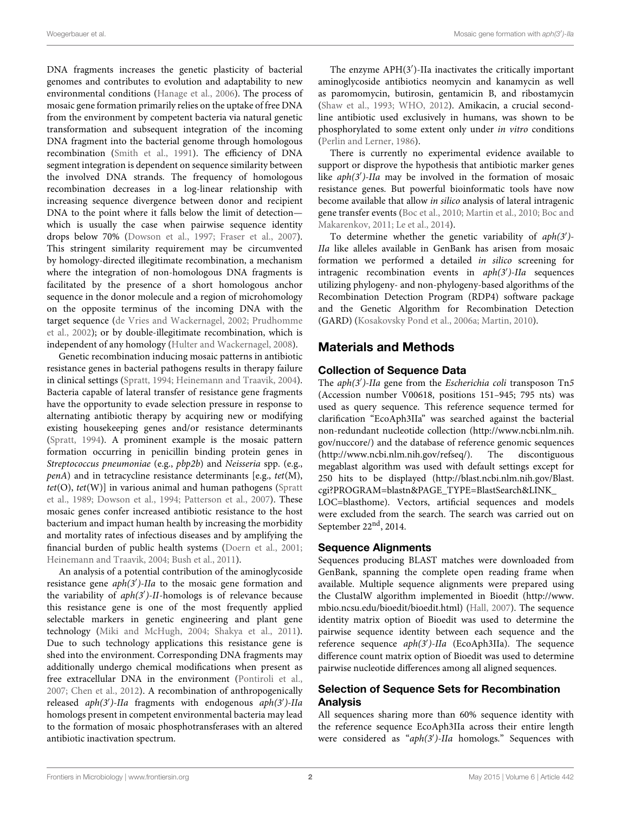DNA fragments increases the genetic plasticity of bacterial genomes and contributes to evolution and adaptability to new environmental conditions [\(Hanage et al., 2006\)](#page-10-1). The process of mosaic gene formation primarily relies on the uptake of free DNA from the environment by competent bacteria via natural genetic transformation and subsequent integration of the incoming DNA fragment into the bacterial genome through homologous recombination [\(Smith et al., 1991\)](#page-11-1). The efficiency of DNA segment integration is dependent on sequence similarity between the involved DNA strands. The frequency of homologous recombination decreases in a log-linear relationship with increasing sequence divergence between donor and recipient DNA to the point where it falls below the limit of detection which is usually the case when pairwise sequence identity drops below 70% [\(Dowson et al., 1997;](#page-10-0) [Fraser et al., 2007\)](#page-10-2). This stringent similarity requirement may be circumvented by homology-directed illegitimate recombination, a mechanism where the integration of non-homologous DNA fragments is facilitated by the presence of a short homologous anchor sequence in the donor molecule and a region of microhomology on the opposite terminus of the incoming DNA with the target sequence [\(de Vries and Wackernagel, 2002;](#page-9-1) Prudhomme et al., [2002\)](#page-11-2); or by double-illegitimate recombination, which is independent of any homology [\(Hulter and Wackernagel, 2008\)](#page-10-3).

Genetic recombination inducing mosaic patterns in antibiotic resistance genes in bacterial pathogens results in therapy failure in clinical settings [\(Spratt, 1994;](#page-11-3) [Heinemann and Traavik, 2004\)](#page-10-4). Bacteria capable of lateral transfer of resistance gene fragments have the opportunity to evade selection pressure in response to alternating antibiotic therapy by acquiring new or modifying existing housekeeping genes and/or resistance determinants [\(Spratt, 1994\)](#page-11-3). A prominent example is the mosaic pattern formation occurring in penicillin binding protein genes in Streptococcus pneumoniae (e.g., pbp2b) and Neisseria spp. (e.g., penA) and in tetracycline resistance determinants [e.g., tet(M),  $tet(O)$ ,  $tet(W)$ ] in various animal and human pathogens (Spratt et al., [1989;](#page-11-4) [Dowson et al., 1994;](#page-10-5) [Patterson et al., 2007\)](#page-10-6). These mosaic genes confer increased antibiotic resistance to the host bacterium and impact human health by increasing the morbidity and mortality rates of infectious diseases and by amplifying the financial burden of public health systems [\(Doern et al., 2001;](#page-10-7) [Heinemann and Traavik, 2004;](#page-10-4) [Bush et al., 2011\)](#page-9-2).

An analysis of a potential contribution of the aminoglycoside resistance gene aph(3')-IIa to the mosaic gene formation and the variability of aph(3')-II-homologs is of relevance because this resistance gene is one of the most frequently applied selectable markers in genetic engineering and plant gene technology [\(Miki and McHugh, 2004;](#page-10-8) [Shakya et al., 2011\)](#page-11-5). Due to such technology applications this resistance gene is shed into the environment. Corresponding DNA fragments may additionally undergo chemical modifications when present as free extracellular DNA in the environment [\(Pontiroli et al.,](#page-10-9) [2007;](#page-10-9) [Chen et al., 2012\)](#page-9-3). A recombination of anthropogenically released aph(3')-IIa fragments with endogenous aph(3')-IIa homologs present in competent environmental bacteria may lead to the formation of mosaic phosphotransferases with an altered antibiotic inactivation spectrum.

The enzyme APH(3′ )-IIa inactivates the critically important aminoglycoside antibiotics neomycin and kanamycin as well as paromomycin, butirosin, gentamicin B, and ribostamycin [\(Shaw et al., 1993;](#page-11-6) [WHO, 2012\)](#page-11-7). Amikacin, a crucial secondline antibiotic used exclusively in humans, was shown to be phosphorylated to some extent only under in vitro conditions [\(Perlin and Lerner, 1986\)](#page-10-10).

There is currently no experimental evidence available to support or disprove the hypothesis that antibiotic marker genes like aph(3')-IIa may be involved in the formation of mosaic resistance genes. But powerful bioinformatic tools have now become available that allow in silico analysis of lateral intragenic gene transfer events [\(Boc et al., 2010;](#page-9-4) [Martin et al., 2010;](#page-10-11) Boc and Makarenkov, [2011;](#page-9-0) [Le et al., 2014\)](#page-10-12).

To determine whether the genetic variability of  $aph(3')$ -IIa like alleles available in GenBank has arisen from mosaic formation we performed a detailed in silico screening for intragenic recombination events in aph(3′ )-IIa sequences utilizing phylogeny- and non-phylogeny-based algorithms of the Recombination Detection Program (RDP4) software package and the Genetic Algorithm for Recombination Detection (GARD) [\(Kosakovsky Pond et al., 2006a;](#page-10-13) [Martin, 2010\)](#page-10-14).

# Materials and Methods

## Collection of Sequence Data

The aph(3')-IIa gene from the Escherichia coli transposon Tn5 (Accession number V00618, positions 151–945; 795 nts) was used as query sequence. This reference sequence termed for clarification "EcoAph3IIa" was searched against the bacterial non-redundant nucleotide collection [\(http://www.ncbi.nlm.nih.](http://www.ncbi.nlm.nih.gov/nuccore/) [gov/nuccore/\)](http://www.ncbi.nlm.nih.gov/nuccore/) and the database of reference genomic sequences [\(http://www.ncbi.nlm.nih.gov/refseq/\)](http://www.ncbi.nlm.nih.gov/refseq/). The discontiguous megablast algorithm was used with default settings except for 250 hits to be displayed [\(http://blast.ncbi.nlm.nih.gov/Blast.](http://blast.ncbi.nlm.nih.gov/Blast.cgi?PROGRAM=blastn&PAGE_TYPE=BlastSearch&LINK_LOC=blasthome) [cgi?PROGRAM=blastn&PAGE\\_TYPE=BlastSearch&LINK\\_](http://blast.ncbi.nlm.nih.gov/Blast.cgi?PROGRAM=blastn&PAGE_TYPE=BlastSearch&LINK_LOC=blasthome)

[LOC=blasthome\)](http://blast.ncbi.nlm.nih.gov/Blast.cgi?PROGRAM=blastn&PAGE_TYPE=BlastSearch&LINK_LOC=blasthome). Vectors, artificial sequences and models were excluded from the search. The search was carried out on September  $22<sup>nd</sup>$ , 2014.

## Sequence Alignments

Sequences producing BLAST matches were downloaded from GenBank, spanning the complete open reading frame when available. Multiple sequence alignments were prepared using the ClustalW algorithm implemented in Bioedit [\(http://www.](http://www.mbio.ncsu.edu/bioedit/bioedit.html) [mbio.ncsu.edu/bioedit/bioedit.html\)](http://www.mbio.ncsu.edu/bioedit/bioedit.html) [\(Hall, 2007\)](#page-10-15). The sequence identity matrix option of Bioedit was used to determine the pairwise sequence identity between each sequence and the reference sequence aph(3')-IIa (EcoAph3IIa). The sequence difference count matrix option of Bioedit was used to determine pairwise nucleotide differences among all aligned sequences.

## Selection of Sequence Sets for Recombination Analysis

All sequences sharing more than 60% sequence identity with the reference sequence EcoAph3IIa across their entire length were considered as "aph(3')-IIa homologs." Sequences with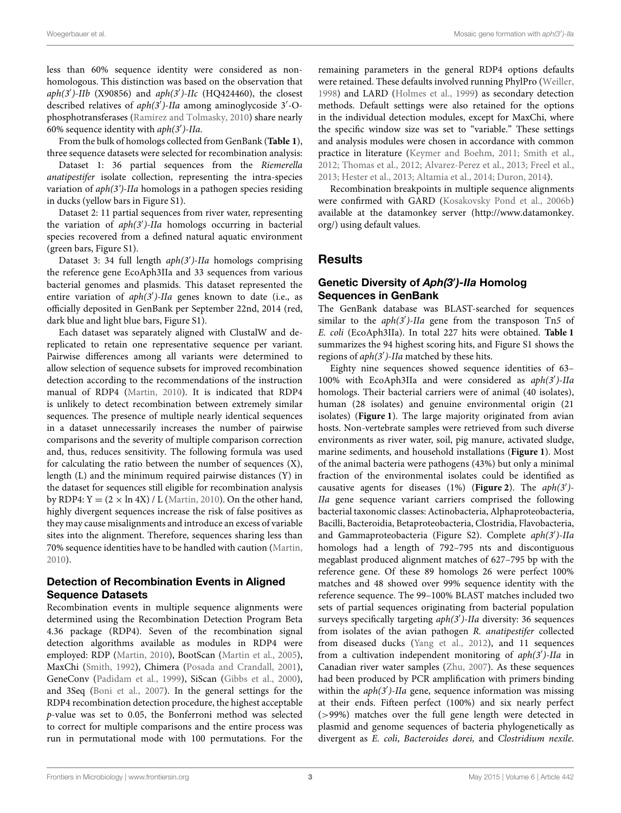less than 60% sequence identity were considered as nonhomologous. This distinction was based on the observation that aph(3')-IIb (X90856) and  $aph(3')$ -IIc (HQ424460), the closest described relatives of  $aph(3<sup>j</sup>)$ -IIa among aminoglycoside 3'-Ophosphotransferases [\(Ramirez and Tolmasky, 2010\)](#page-11-8) share nearly -<br>60% sequence identity with aph(3')-IIa.

From the bulk of homologs collected from GenBank (**[Table 1](#page-3-0)**), three sequence datasets were selected for recombination analysis:

Dataset 1: 36 partial sequences from the Riemerella anatipestifer isolate collection, representing the intra-species variation of  $aph(3')$ -IIa homologs in a pathogen species residing in ducks (yellow bars in Figure S1).

Dataset 2: 11 partial sequences from river water, representing the variation of aph(3')-IIa homologs occurring in bacterial species recovered from a defined natural aquatic environment (green bars, Figure S1).

Dataset 3: 34 full length aph(3')-IIa homologs comprising the reference gene EcoAph3IIa and 33 sequences from various bacterial genomes and plasmids. This dataset represented the entire variation of  $aph(3')$ -IIa genes known to date (i.e., as officially deposited in GenBank per September 22nd, 2014 (red, dark blue and light blue bars, Figure S1).

Each dataset was separately aligned with ClustalW and dereplicated to retain one representative sequence per variant. Pairwise differences among all variants were determined to allow selection of sequence subsets for improved recombination detection according to the recommendations of the instruction manual of RDP4 [\(Martin, 2010\)](#page-10-14). It is indicated that RDP4 is unlikely to detect recombination between extremely similar sequences. The presence of multiple nearly identical sequences in a dataset unnecessarily increases the number of pairwise comparisons and the severity of multiple comparison correction and, thus, reduces sensitivity. The following formula was used for calculating the ratio between the number of sequences (X), length (L) and the minimum required pairwise distances (Y) in the dataset for sequences still eligible for recombination analysis by RDP4:  $Y = (2 \times \ln 4X) / L$  [\(Martin, 2010\)](#page-10-14). On the other hand, highly divergent sequences increase the risk of false positives as they may cause misalignments and introduce an excess of variable sites into the alignment. Therefore, sequences sharing less than 70% sequence identities have to be handled with caution [\(Martin,](#page-10-14) [2010\)](#page-10-14).

## Detection of Recombination Events in Aligned Sequence Datasets

Recombination events in multiple sequence alignments were determined using the Recombination Detection Program Beta 4.36 package (RDP4). Seven of the recombination signal detection algorithms available as modules in RDP4 were employed: RDP [\(Martin, 2010\)](#page-10-14), BootScan [\(Martin et al., 2005\)](#page-10-16), MaxChi [\(Smith, 1992\)](#page-11-0), Chimera [\(Posada and Crandall, 2001\)](#page-10-17), GeneConv [\(Padidam et al., 1999\)](#page-10-18), SiScan [\(Gibbs et al., 2000\)](#page-10-19), and 3Seq [\(Boni et al., 2007\)](#page-9-5). In the general settings for the RDP4 recombination detection procedure, the highest acceptable p-value was set to 0.05, the Bonferroni method was selected to correct for multiple comparisons and the entire process was run in permutational mode with 100 permutations. For the remaining parameters in the general RDP4 options defaults were retained. These defaults involved running PhylPro [\(Weiller,](#page-11-9) [1998\)](#page-11-9) and LARD [\(Holmes et al., 1999\)](#page-10-20) as secondary detection methods. Default settings were also retained for the options in the individual detection modules, except for MaxChi, where the specific window size was set to "variable." These settings and analysis modules were chosen in accordance with common practice in literature [\(Keymer and Boehm, 2011;](#page-10-21) [Smith et al.,](#page-11-10) [2012;](#page-11-10) [Thomas et al., 2012;](#page-11-11) [Alvarez-Perez et al., 2013;](#page-9-6) [Freel et al.,](#page-10-22) [2013;](#page-10-22) [Hester et al., 2013;](#page-10-23) [Altamia et al., 2014;](#page-9-7) [Duron, 2014\)](#page-10-24).

Recombination breakpoints in multiple sequence alignments were confirmed with GARD [\(Kosakovsky Pond et al., 2006b\)](#page-10-25) available at the datamonkey server [\(http://www.datamonkey.](http://www.datamonkey.org/) [org/\)](http://www.datamonkey.org/) using default values.

## **Results**

## Genetic Diversity of *Aph(3*′ *)-IIa* Homolog Sequences in GenBank

The GenBank database was BLAST-searched for sequences similar to the  $aph(3')$ -IIa gene from the transposon Tn5 of E. coli (EcoAph3IIa). In total 227 hits were obtained. **[Table 1](#page-3-0)** summarizes the 94 highest scoring hits, and Figure S1 shows the regions of aph(3′ )-IIa matched by these hits.

Eighty nine sequences showed sequence identities of 63– 100% with EcoAph3IIa and were considered as aph(3′ )-IIa homologs. Their bacterial carriers were of animal (40 isolates), human (28 isolates) and genuine environmental origin (21 isolates) (**[Figure 1](#page-5-0)**). The large majority originated from avian hosts. Non-vertebrate samples were retrieved from such diverse environments as river water, soil, pig manure, activated sludge, marine sediments, and household installations (**[Figure 1](#page-5-0)**). Most of the animal bacteria were pathogens (43%) but only a minimal fraction of the environmental isolates could be identified as causative agents for diseases (1%) (**[Figure 2](#page-5-1)**). The aph(3′ )- IIa gene sequence variant carriers comprised the following bacterial taxonomic classes: Actinobacteria, Alphaproteobacteria, Bacilli, Bacteroidia, Betaproteobacteria, Clostridia, Flavobacteria, and Gammaproteobacteria (Figure S2). Complete aph(3')-IIa homologs had a length of 792–795 nts and discontiguous megablast produced alignment matches of 627–795 bp with the reference gene. Of these 89 homologs 26 were perfect 100% matches and 48 showed over 99% sequence identity with the reference sequence. The 99–100% BLAST matches included two sets of partial sequences originating from bacterial population surveys specifically targeting aph(3')-IIa diversity: 36 sequences from isolates of the avian pathogen R. anatipestifer collected from diseased ducks [\(Yang et al., 2012\)](#page-11-12), and 11 sequences from a cultivation independent monitoring of aph(3')-IIa in Canadian river water samples [\(Zhu, 2007\)](#page-11-13). As these sequences had been produced by PCR amplification with primers binding within the aph(3')-IIa gene, sequence information was missing at their ends. Fifteen perfect (100%) and six nearly perfect (>99%) matches over the full gene length were detected in plasmid and genome sequences of bacteria phylogenetically as divergent as E. coli, Bacteroides dorei, and Clostridium nexile.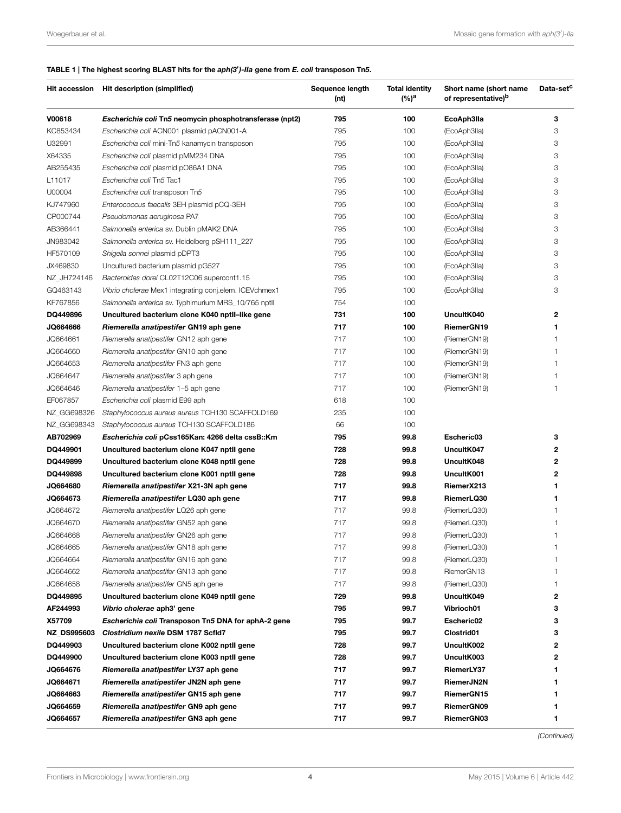#### <span id="page-3-0"></span>TABLE 1 | The highest scoring BLAST hits for the *aph(3*′ *)-IIa* gene from *E. coli* transposon Tn*5*.

|                    | Hit accession Hit description (simplified)              | Sequence length<br>(nt) | <b>Total identity</b><br>(%) <sup>a</sup> | Short name (short name<br>of representative) <sup>b</sup> | Data-set <sup>c</sup> |
|--------------------|---------------------------------------------------------|-------------------------|-------------------------------------------|-----------------------------------------------------------|-----------------------|
| V00618             | Escherichia coli Tn5 neomycin phosphotransferase (npt2) | 795                     | 100                                       | EcoAph3lla                                                | 3                     |
| KC853434           | Escherichia coli ACN001 plasmid pACN001-A               | 795                     | 100                                       | (EcoAph3lla)                                              | 3                     |
| U32991             | Escherichia coli mini-Tn5 kanamycin transposon          | 795                     | 100                                       | (EcoAph3lla)                                              | 3                     |
| X64335             | Escherichia coli plasmid pMM234 DNA                     | 795                     | 100                                       | (EcoAph3lla)                                              | 3                     |
| AB255435           | Escherichia coli plasmid pO86A1 DNA                     | 795                     | 100                                       | (EcoAph3lla)                                              | 3                     |
| L11017             | Escherichia coli Tn5 Tac1                               | 795                     | 100                                       | (EcoAph3lla)                                              | 3                     |
| U00004             | Escherichia coli transposon Tn5                         | 795                     | 100                                       | (EcoAph3lla)                                              | 3                     |
| KJ747960           | Enterococcus faecalis 3EH plasmid pCQ-3EH               | 795                     | 100                                       | (EcoAph3lla)                                              | 3                     |
| CP000744           | Pseudomonas aeruginosa PA7                              | 795                     | 100                                       | (EcoAph3lla)                                              | 3                     |
| AB366441           | Salmonella enterica sv. Dublin pMAK2 DNA                | 795                     | 100                                       | (EcoAph3lla)                                              | 3                     |
| JN983042           | Salmonella enterica sv. Heidelberg pSH111_227           | 795                     | 100                                       | (EcoAph3lla)                                              | 3                     |
| HF570109           | Shigella sonnei plasmid pDPT3                           | 795                     | 100                                       | (EcoAph3lla)                                              | 3                     |
| JX469830           | Uncultured bacterium plasmid pG527                      | 795                     | 100                                       | (EcoAph3lla)                                              | 3                     |
| NZ_JH724146        | Bacteroides dorei CL02T12C06 supercont1.15              | 795                     | 100                                       | (EcoAph3lla)                                              | 3                     |
| GQ463143           | Vibrio cholerae Mex1 integrating conj.elem. ICEVchmex1  | 795                     | 100                                       | (EcoAph3lla)                                              | 3                     |
| KF767856           | Salmonella enterica sv. Typhimurium MRS_10/765 nptll    | 754                     | 100                                       |                                                           |                       |
| DQ449896           | Uncultured bacterium clone K040 nptll-like gene         | 731                     | 100                                       | UncultK040                                                | 2                     |
| JQ664666           | Riemerella anatipestifer GN19 aph gene                  | 717                     | 100                                       | RiemerGN19                                                | 1                     |
| JQ664661           | Riemerella anatipestifer GN12 aph gene                  | 717                     | 100                                       | (RiemerGN19)                                              | 1                     |
| JQ664660           | Riemerella anatipestifer GN10 aph gene                  | 717                     | 100                                       | (RiemerGN19)                                              | 1                     |
| JQ664653           | Riemerella anatipestifer FN3 aph gene                   | 717                     | 100                                       | (RiemerGN19)                                              | 1                     |
| JQ664647           | Riemerella anatipestifer 3 aph gene                     | 717                     | 100                                       | (RiemerGN19)                                              | 1                     |
| JQ664646           | Riemerella anatipestifer 1-5 aph gene                   | 717                     | 100                                       | (RiemerGN19)                                              | 1                     |
| EF067857           | Escherichia coli plasmid E99 aph                        | 618                     | 100                                       |                                                           |                       |
| NZ_GG698326        | Staphylococcus aureus aureus TCH130 SCAFFOLD169         | 235                     | 100                                       |                                                           |                       |
| NZ_GG698343        | Staphylococcus aureus TCH130 SCAFFOLD186                | 66                      | 100                                       |                                                           |                       |
| AB702969           | Escherichia coli pCss165Kan: 4266 delta cssB::Km        | 795                     | 99.8                                      | Escheric03                                                | з                     |
| DQ449901           | Uncultured bacterium clone K047 nptll gene              | 728                     | 99.8                                      | UncultK047                                                | 2                     |
| DQ449899           | Uncultured bacterium clone K048 nptll gene              | 728                     | 99.8                                      | UncultK048                                                | 2                     |
| DQ449898           | Uncultured bacterium clone K001 nptll gene              | 728                     | 99.8                                      | UncultK001                                                | 2                     |
| JQ664680           | Riemerella anatipestifer X21-3N aph gene                | 717                     | 99.8                                      | RiemerX213                                                | 1                     |
| JQ664673           | Riemerella anatipestifer LQ30 aph gene                  | 717                     | 99.8                                      | RiemerLQ30                                                | 1                     |
| JQ664672           | Riemerella anatipestifer LQ26 aph gene                  | 717                     | 99.8                                      | (RiemerLQ30)                                              | 1                     |
| JQ664670           | Riemerella anatipestifer GN52 aph gene                  | 717                     | 99.8                                      | (RiemerLQ30)                                              | 1                     |
| JQ664668           | Riemerella anatipestifer GN26 aph gene                  | 717                     | 99.8                                      | (RiemerLQ30)                                              | 1                     |
| JQ664665           | Riemerella anatipestifer GN18 aph gene                  | 717                     | 99.8                                      | (RiemerLQ30)                                              |                       |
| JQ664664           | Riemerella anatipestifer GN16 aph gene                  | 717                     | 99.8                                      | (RiemerLQ30)                                              | 1                     |
| JQ664662           | Riemerella anatipestifer GN13 aph gene                  | 717                     | 99.8                                      | RiemerGN13                                                | 1                     |
| JQ664658           | Riemerella anatipestifer GN5 aph gene                   | 717                     | 99.8                                      | (RiemerLQ30)                                              | 1                     |
| DQ449895           | Uncultured bacterium clone K049 nptll gene              | 729                     | 99.8                                      | UncultK049                                                | 2                     |
| AF244993           | Vibrio cholerae aph3' gene                              | 795                     | 99.7                                      | Vibrioch01                                                | 3                     |
| X57709             | Escherichia coli Transposon Tn5 DNA for aphA-2 gene     | 795                     | 99.7                                      | Escheric02                                                | 3                     |
| <b>NZ_DS995603</b> | Clostridium nexile DSM 1787 Scfld7                      | 795                     | 99.7                                      | Clostrid01                                                | з                     |
| DQ449903           | Uncultured bacterium clone K002 nptll gene              | 728                     | 99.7                                      | UncultK002                                                | 2                     |
| DQ449900           | Uncultured bacterium clone K003 nptll gene              | 728                     | 99.7                                      | UncultK003                                                | 2                     |
| JQ664676           | Riemerella anatipestifer LY37 aph gene                  | 717                     | 99.7                                      | RiemerLY37                                                |                       |
| JQ664671           | Riemerella anatipestifer JN2N aph gene                  | 717                     | 99.7                                      | RiemerJN2N                                                | 1                     |
| JQ664663           | Riemerella anatipestifer GN15 aph gene                  | 717                     | 99.7                                      | RiemerGN15                                                |                       |
| JQ664659           | Riemerella anatipestifer GN9 aph gene                   | 717                     | 99.7                                      | RiemerGN09                                                |                       |
| JQ664657           | Riemerella anatipestifer GN3 aph gene                   | 717                     | 99.7                                      | RiemerGN03                                                | 1                     |

(Continued)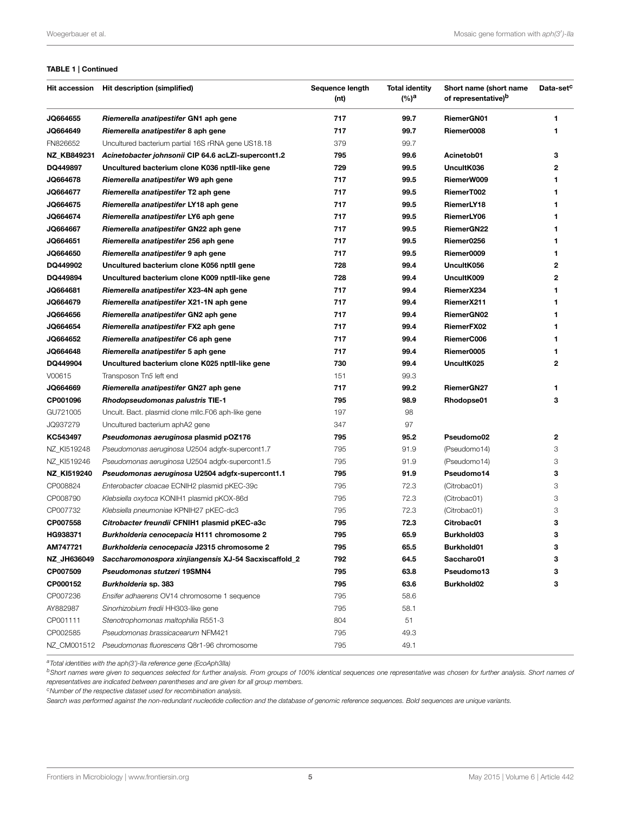#### <span id="page-4-0"></span>TABLE 1 | Continued

|             | Hit accession Hit description (simplified)             | Sequence length<br>(nt) | <b>Total identity</b><br>(%) <sup>a</sup> | Short name (short name<br>of representative) <sup>b</sup> | Data-set <sup>c</sup> |
|-------------|--------------------------------------------------------|-------------------------|-------------------------------------------|-----------------------------------------------------------|-----------------------|
| JQ664655    | Riemerella anatipestifer GN1 aph gene                  | 717                     | 99.7                                      | RiemerGN01                                                | 1                     |
| JQ664649    | Riemerella anatipestifer 8 aph gene                    | 717                     | 99.7                                      | Riemer0008                                                | 1                     |
| FN826652    | Uncultured bacterium partial 16S rRNA gene US18.18     | 379                     | 99.7                                      |                                                           |                       |
| NZ_KB849231 | Acinetobacter johnsonii CIP 64.6 acLZI-supercont1.2    | 795                     | 99.6                                      | Acinetob01                                                | 3                     |
| DQ449897    | Uncultured bacterium clone K036 nptll-like gene        | 729                     | 99.5                                      | UncultK036                                                | 2                     |
| JQ664678    | Riemerella anatipestifer W9 aph gene                   | 717                     | 99.5                                      | RiemerW009                                                | 1                     |
| JQ664677    | Riemerella anatipestifer T2 aph gene                   | 717                     | 99.5                                      | RiemerT002                                                | 1                     |
| JQ664675    | Riemerella anatipestifer LY18 aph gene                 | 717                     | 99.5                                      | RiemerLY18                                                | 1                     |
| JQ664674    | Riemerella anatipestifer LY6 aph gene                  | 717                     | 99.5                                      | RiemerLY06                                                | 1                     |
| JQ664667    | Riemerella anatipestifer GN22 aph gene                 | 717                     | 99.5                                      | RiemerGN22                                                | 1                     |
| JQ664651    | Riemerella anatipestifer 256 aph gene                  | 717                     | 99.5                                      | Riemer0256                                                | 1                     |
| JQ664650    | Riemerella anatipestifer 9 aph gene                    | 717                     | 99.5                                      | Riemer0009                                                | 1                     |
| DQ449902    | Uncultured bacterium clone K056 nptll gene             | 728                     | 99.4                                      | UncultK056                                                | 2                     |
| DQ449894    | Uncultured bacterium clone K009 nptll-like gene        | 728                     | 99.4                                      | UncultK009                                                | 2                     |
| JQ664681    | Riemerella anatipestifer X23-4N aph gene               | 717                     | 99.4                                      | RiemerX234                                                | 1                     |
| JQ664679    | Riemerella anatipestifer X21-1N aph gene               | 717                     | 99.4                                      | RiemerX211                                                | 1                     |
| JQ664656    | Riemerella anatipestifer GN2 aph gene                  | 717                     | 99.4                                      | RiemerGN02                                                | 1                     |
| JQ664654    | Riemerella anatipestifer FX2 aph gene                  | 717                     | 99.4                                      | RiemerFX02                                                | 1                     |
| JQ664652    | Riemerella anatipestifer C6 aph gene                   | 717                     | 99.4                                      | RiemerC006                                                | 1                     |
| JQ664648    | Riemerella anatipestifer 5 aph gene                    | 717                     | 99.4                                      | Riemer0005                                                | 1                     |
| DQ449904    | Uncultured bacterium clone K025 nptII-like gene        | 730                     | 99.4                                      | UncultK025                                                | 2                     |
| V00615      | Transposon Tn5 left end                                | 151                     | 99.3                                      |                                                           |                       |
| JQ664669    | Riemerella anatipestifer GN27 aph gene                 | 717                     | 99.2                                      | RiemerGN27                                                | 1                     |
| CP001096    | <b>Rhodopseudomonas palustris TIE-1</b>                | 795                     | 98.9                                      | Rhodopse01                                                | 3                     |
| GU721005    | Uncult. Bact. plasmid clone mllc.F06 aph-like gene     | 197                     | 98                                        |                                                           |                       |
| JQ937279    | Uncultured bacterium aphA2 gene                        | 347                     | 97                                        |                                                           |                       |
| KC543497    | Pseudomonas aeruginosa plasmid pOZ176                  | 795                     | 95.2                                      | Pseudomo02                                                | 2                     |
| NZ_KI519248 | Pseudomonas aeruginosa U2504 adgfx-supercont1.7        | 795                     | 91.9                                      | (Pseudomo14)                                              | 3                     |
| NZ_KI519246 | Pseudomonas aeruginosa U2504 adgfx-supercont1.5        | 795                     | 91.9                                      | (Pseudomo14)                                              | 3                     |
| NZ_KI519240 | Pseudomonas aeruginosa U2504 adgfx-supercont1.1        | 795                     | 91.9                                      | Pseudomo14                                                | 3                     |
| CP008824    | Enterobacter cloacae ECNIH2 plasmid pKEC-39c           | 795                     | 72.3                                      | (Citrobac01)                                              | 3                     |
| CP008790    | Klebsiella oxytoca KONIH1 plasmid pKOX-86d             | 795                     | 72.3                                      | (Citrobac01)                                              | 3                     |
| CP007732    | Klebsiella pneumoniae KPNIH27 pKEC-dc3                 | 795                     | 72.3                                      | (Citrobac01)                                              | 3                     |
| CP007558    | Citrobacter freundii CFNIH1 plasmid pKEC-a3c           | 795                     | 72.3                                      | Citrobac01                                                | 3                     |
| HG938371    | Burkholderia cenocepacia H111 chromosome 2             | 795                     | 65.9                                      | Burkhold03                                                | 3                     |
| AM747721    | Burkholderia cenocepacia J2315 chromosome 2            | 795                     | 65.5                                      | Burkhold01                                                | 3                     |
| NZ_JH636049 | Saccharomonospora xinjiangensis XJ-54 Sacxiscaffold_2  | 792                     | 64.5                                      | Saccharo01                                                | 3                     |
| CP007509    | Pseudomonas stutzeri 19SMN4                            | 795                     | 63.8                                      | Pseudomo13                                                | 3                     |
| CP000152    | Burkholderia sp. 383                                   | 795                     | 63.6                                      | Burkhold02                                                | з                     |
| CP007236    | Ensifer adhaerens OV14 chromosome 1 sequence           | 795                     | 58.6                                      |                                                           |                       |
| AY882987    | Sinorhizobium fredii HH303-like gene                   | 795                     | 58.1                                      |                                                           |                       |
| CP001111    | Stenotrophomonas maltophilia R551-3                    | 804                     | 51                                        |                                                           |                       |
| CP002585    | Pseudomonas brassicacearum NFM421                      | 795                     | 49.3                                      |                                                           |                       |
|             | NZ CM001512 Pseudomonas fluorescens Q8r1-96 chromosome | 795                     | 49.1                                      |                                                           |                       |

a Total identities with the aph(3')-lla reference gene (EcoAph3IIa)

<sup>b</sup>Short names were given to sequences selected for further analysis. From groups of 100% identical sequences one representative was chosen for further analysis. Short names of representatives are indicated between parentheses and are given for all group members.

<sup>c</sup>Number of the respective dataset used for recombination analysis.

Search was performed against the non-redundant nucleotide collection and the database of genomic reference sequences. Bold sequences are unique variants.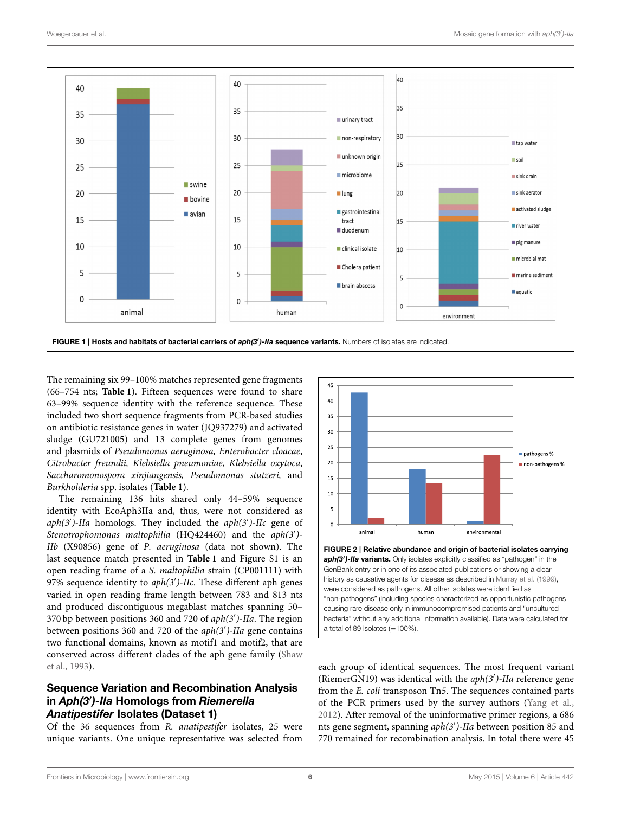

<span id="page-5-0"></span>The remaining six 99–100% matches represented gene fragments (66–754 nts; **[Table 1](#page-3-0)**). Fifteen sequences were found to share 63–99% sequence identity with the reference sequence. These included two short sequence fragments from PCR-based studies on antibiotic resistance genes in water (JQ937279) and activated sludge (GU721005) and 13 complete genes from genomes and plasmids of Pseudomonas aeruginosa, Enterobacter cloacae, Citrobacter freundii, Klebsiella pneumoniae, Klebsiella oxytoca, Saccharomonospora xinjiangensis, Pseudomonas stutzeri, and Burkholderia spp. isolates (**[Table 1](#page-3-0)**).

The remaining 136 hits shared only 44–59% sequence identity with EcoAph3IIa and, thus, were not considered as  $aph(3')$ -IIa homologs. They included the  $aph(3')$ -IIc gene of Stenotrophomonas maltophilia (HQ424460) and the aph(3')-IIb (X90856) gene of P. aeruginosa (data not shown). The last sequence match presented in **[Table 1](#page-3-0)** and Figure S1 is an open reading frame of a S. maltophilia strain (CP001111) with 97% sequence identity to  $aph(3')$ -IIc. These different aph genes varied in open reading frame length between 783 and 813 nts and produced discontiguous megablast matches spanning 50– 370 bp between positions 360 and 720 of aph(3')-IIa. The region between positions 360 and 720 of the aph(3')-IIa gene contains two functional domains, known as motif1 and motif2, that are conserved across different clades of the aph gene family (Shaw et al., [1993\)](#page-11-6).

## Sequence Variation and Recombination Analysis in *Aph(3*′ *)-IIa* Homologs from *Riemerella Anatipestifer* Isolates (Dataset 1)

Of the 36 sequences from R. anatipestifer isolates, 25 were unique variants. One unique representative was selected from



<span id="page-5-1"></span>history as causative agents for disease as described in [Murray et al. \(1999\)](#page-10-26), were considered as pathogens. All other isolates were identified as "non-pathogens" (including species characterized as opportunistic pathogens causing rare disease only in immunocompromised patients and "uncultured bacteria" without any additional information available). Data were calculated for a total of 89 isolates  $(=100\%)$ .

each group of identical sequences. The most frequent variant (RiemerGN19) was identical with the aph(3')-IIa reference gene from the E. coli transposon Tn5. The sequences contained parts of the PCR primers used by the survey authors [\(Yang et al.,](#page-11-12) [2012\)](#page-11-12). After removal of the uninformative primer regions, a 686 nts gene segment, spanning aph(3′ )-IIa between position 85 and 770 remained for recombination analysis. In total there were 45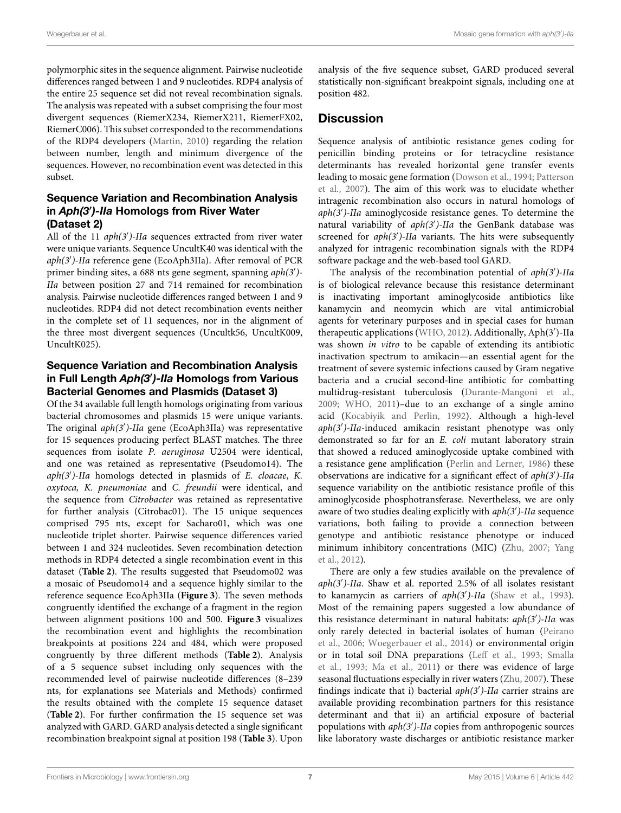polymorphic sites in the sequence alignment. Pairwise nucleotide differences ranged between 1 and 9 nucleotides. RDP4 analysis of the entire 25 sequence set did not reveal recombination signals. The analysis was repeated with a subset comprising the four most divergent sequences (RiemerX234, RiemerX211, RiemerFX02, RiemerC006). This subset corresponded to the recommendations of the RDP4 developers [\(Martin, 2010\)](#page-10-14) regarding the relation between number, length and minimum divergence of the sequences. However, no recombination event was detected in this subset.

## Sequence Variation and Recombination Analysis in *Aph(3*′ *)-IIa* Homologs from River Water (Dataset 2)

All of the 11 aph(3')-IIa sequences extracted from river water were unique variants. Sequence UncultK40 was identical with the aph(3′ )-IIa reference gene (EcoAph3IIa). After removal of PCR primer binding sites, a 688 nts gene segment, spanning aph(3')-IIa between position 27 and 714 remained for recombination analysis. Pairwise nucleotide differences ranged between 1 and 9 nucleotides. RDP4 did not detect recombination events neither in the complete set of 11 sequences, nor in the alignment of the three most divergent sequences (Uncultk56, UncultK009, UncultK025).

## Sequence Variation and Recombination Analysis in Full Length *Aph(3*′ *)-IIa* Homologs from Various Bacterial Genomes and Plasmids (Dataset 3)

Of the 34 available full length homologs originating from various bacterial chromosomes and plasmids 15 were unique variants. The original aph(3')-IIa gene (EcoAph3IIa) was representative for 15 sequences producing perfect BLAST matches. The three sequences from isolate P. aeruginosa U2504 were identical, and one was retained as representative (Pseudomo14). The aph(3')-IIa homologs detected in plasmids of E. cloacae, K. oxytoca, K. pneumoniae and C. freundii were identical, and the sequence from Citrobacter was retained as representative for further analysis (Citrobac01). The 15 unique sequences comprised 795 nts, except for Sacharo01, which was one nucleotide triplet shorter. Pairwise sequence differences varied between 1 and 324 nucleotides. Seven recombination detection methods in RDP4 detected a single recombination event in this dataset (**[Table 2](#page-4-0)**). The results suggested that Pseudomo02 was a mosaic of Pseudomo14 and a sequence highly similar to the reference sequence EcoAph3IIa (**[Figure 3](#page-8-0)**). The seven methods congruently identified the exchange of a fragment in the region between alignment positions 100 and 500. **[Figure 3](#page-8-0)** visualizes the recombination event and highlights the recombination breakpoints at positions 224 and 484, which were proposed congruently by three different methods (**[Table 2](#page-4-0)**). Analysis of a 5 sequence subset including only sequences with the recommended level of pairwise nucleotide differences (8–239 nts, for explanations see Materials and Methods) confirmed the results obtained with the complete 15 sequence dataset (**[Table 2](#page-4-0)**). For further confirmation the 15 sequence set was analyzed with GARD. GARD analysis detected a single significant recombination breakpoint signal at position 198 (**[Table 3](#page-7-0)**). Upon analysis of the five sequence subset, GARD produced several statistically non-significant breakpoint signals, including one at position 482.

# **Discussion**

Sequence analysis of antibiotic resistance genes coding for penicillin binding proteins or for tetracycline resistance determinants has revealed horizontal gene transfer events leading to mosaic gene formation [\(Dowson et al., 1994;](#page-10-5) Patterson et al., [2007\)](#page-10-6). The aim of this work was to elucidate whether intragenic recombination also occurs in natural homologs of  $aph(3')$ -IIa aminoglycoside resistance genes. To determine the natural variability of aph(3')-IIa the GenBank database was screened for  $aph(3')$ -IIa variants. The hits were subsequently analyzed for intragenic recombination signals with the RDP4 software package and the web-based tool GARD.

The analysis of the recombination potential of aph(3')-IIa is of biological relevance because this resistance determinant is inactivating important aminoglycoside antibiotics like kanamycin and neomycin which are vital antimicrobial agents for veterinary purposes and in special cases for human therapeutic applications [\(WHO, 2012\)](#page-11-7). Additionally, Aph(3′ )-IIa was shown in vitro to be capable of extending its antibiotic inactivation spectrum to amikacin—an essential agent for the treatment of severe systemic infections caused by Gram negative bacteria and a crucial second-line antibiotic for combatting multidrug-resistant tuberculosis [\(Durante-Mangoni et al.,](#page-10-27) [2009;](#page-10-27) [WHO, 2011\)](#page-11-14)–due to an exchange of a single amino acid [\(Kocabiyik and Perlin, 1992\)](#page-10-28). Although a high-level aph(3′ )-IIa-induced amikacin resistant phenotype was only demonstrated so far for an E. coli mutant laboratory strain that showed a reduced aminoglycoside uptake combined with a resistance gene amplification [\(Perlin and Lerner, 1986\)](#page-10-10) these observations are indicative for a significant effect of aph(3′ )-IIa sequence variability on the antibiotic resistance profile of this aminoglycoside phosphotransferase. Nevertheless, we are only aware of two studies dealing explicitly with aph(3')-IIa sequence variations, both failing to provide a connection between genotype and antibiotic resistance phenotype or induced minimum inhibitory concentrations (MIC) [\(Zhu, 2007;](#page-11-13) Yang et al., [2012\)](#page-11-12).

There are only a few studies available on the prevalence of aph(3')-IIa. Shaw et al. reported 2.5% of all isolates resistant to kanamycin as carriers of  $aph(3')$ -IIa [\(Shaw et al., 1993\)](#page-11-6). Most of the remaining papers suggested a low abundance of this resistance determinant in natural habitats:  $aph(3')$ -IIa was only rarely detected in bacterial isolates of human (Peirano et al., [2006;](#page-10-29) [Woegerbauer et al., 2014\)](#page-11-15) or environmental origin or in total soil DNA preparations [\(Leff et al., 1993;](#page-10-30) Smalla et al., [1993;](#page-11-16) [Ma et al., 2011\)](#page-10-31) or there was evidence of large seasonal fluctuations especially in river waters [\(Zhu, 2007\)](#page-11-13). These findings indicate that i) bacterial  $aph(3')$ -IIa carrier strains are available providing recombination partners for this resistance determinant and that ii) an artificial exposure of bacterial populations with  $aph(3')$ -IIa copies from anthropogenic sources like laboratory waste discharges or antibiotic resistance marker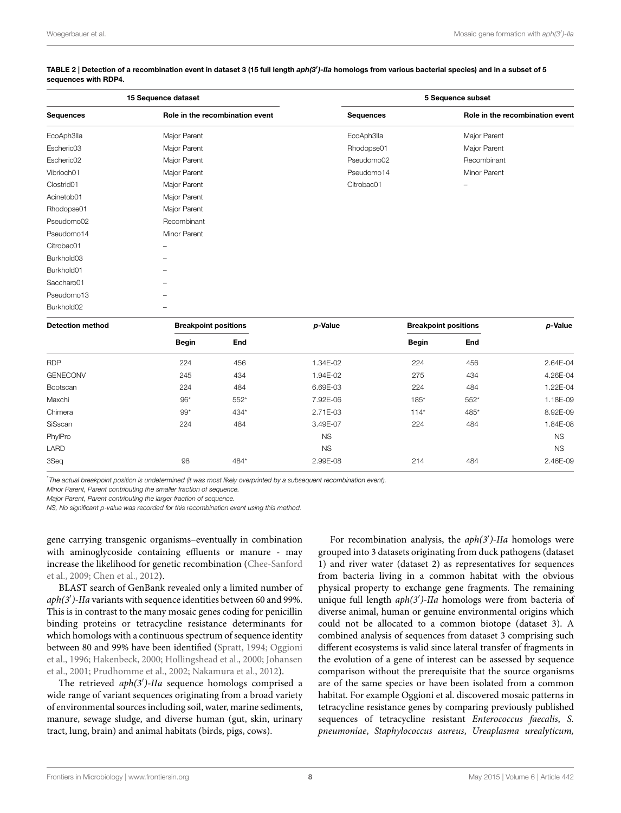| 15 Sequence dataset |                                 | 5 Sequence subset |                                 |  |  |
|---------------------|---------------------------------|-------------------|---------------------------------|--|--|
| <b>Sequences</b>    | Role in the recombination event | <b>Sequences</b>  | Role in the recombination event |  |  |
| EcoAph3lla          | Major Parent                    | EcoAph3lla        | Major Parent                    |  |  |
| Escheric03          | Major Parent                    | Rhodopse01        | Major Parent                    |  |  |
| Escheric02          | Major Parent                    | Pseudomo02        | Recombinant                     |  |  |
| Vibrioch01          | Major Parent                    | Pseudomo14        | Minor Parent                    |  |  |
| Clostrid01          | Major Parent                    | Citrobac01        | -                               |  |  |
| Acinetob01          | Major Parent                    |                   |                                 |  |  |
| Rhodopse01          | Major Parent                    |                   |                                 |  |  |
| Pseudomo02          | Recombinant                     |                   |                                 |  |  |
| Pseudomo14          | Minor Parent                    |                   |                                 |  |  |
| Citrobac01          |                                 |                   |                                 |  |  |
| Burkhold03          |                                 |                   |                                 |  |  |
| Burkhold01          |                                 |                   |                                 |  |  |
| Saccharo01          |                                 |                   |                                 |  |  |
| Pseudomo13          |                                 |                   |                                 |  |  |
| Burkhold02          |                                 |                   |                                 |  |  |
|                     |                                 |                   |                                 |  |  |

#### <span id="page-7-0"></span>TABLE 2 | Detection of a recombination event in dataset 3 (15 full length *aph(3*′ *)-IIa* homologs from various bacterial species) and in a subset of 5 sequences with RDP4.

| <b>Detection method</b> | <b>Breakpoint positions</b> |      | p-Value   | <b>Breakpoint positions</b> |      | p-Value   |
|-------------------------|-----------------------------|------|-----------|-----------------------------|------|-----------|
|                         | <b>Begin</b>                | End  |           | <b>Begin</b>                | End  |           |
| <b>RDP</b>              | 224                         | 456  | 1.34E-02  | 224                         | 456  | 2.64E-04  |
| <b>GENECONV</b>         | 245                         | 434  | 1.94E-02  | 275                         | 434  | 4.26E-04  |
| Bootscan                | 224                         | 484  | 6.69E-03  | 224                         | 484  | 1.22E-04  |
| Maxchi                  | $96*$                       | 552* | 7.92E-06  | $185*$                      | 552* | 1.18E-09  |
| Chimera                 | $99*$                       | 434* | 2.71E-03  | $114*$                      | 485* | 8.92E-09  |
| SiSscan                 | 224                         | 484  | 3.49E-07  | 224                         | 484  | 1.84E-08  |
| PhylPro                 |                             |      | <b>NS</b> |                             |      | <b>NS</b> |
| LARD                    |                             |      | <b>NS</b> |                             |      | <b>NS</b> |
| 3Seq                    | 98                          | 484* | 2.99E-08  | 214                         | 484  | 2.46E-09  |

\*The actual breakpoint position is undetermined (it was most likely overprinted by a subsequent recombination event).

Minor Parent, Parent contributing the smaller fraction of sequence.

Major Parent, Parent contributing the larger fraction of sequence.

NS, No significant p-value was recorded for this recombination event using this method.

gene carrying transgenic organisms–eventually in combination with aminoglycoside containing effluents or manure - may increase the likelihood for genetic recombination (Chee-Sanford et al., [2009;](#page-9-8) [Chen et al., 2012\)](#page-9-3).

BLAST search of GenBank revealed only a limited number of aph(3')-IIa variants with sequence identities between 60 and 99%. This is in contrast to the many mosaic genes coding for penicillin binding proteins or tetracycline resistance determinants for which homologs with a continuous spectrum of sequence identity between 80 and 99% have been identified [\(Spratt, 1994;](#page-11-3) Oggioni et al., [1996;](#page-10-32) [Hakenbeck, 2000;](#page-10-33) [Hollingshead et al., 2000;](#page-10-34) Johansen et al., [2001;](#page-10-35) [Prudhomme et al., 2002;](#page-11-2) [Nakamura et al., 2012\)](#page-10-36).

The retrieved aph(3')-IIa sequence homologs comprised a wide range of variant sequences originating from a broad variety of environmental sources including soil, water, marine sediments, manure, sewage sludge, and diverse human (gut, skin, urinary tract, lung, brain) and animal habitats (birds, pigs, cows).

For recombination analysis, the  $aph(3')$ -IIa homologs were grouped into 3 datasets originating from duck pathogens (dataset 1) and river water (dataset 2) as representatives for sequences from bacteria living in a common habitat with the obvious physical property to exchange gene fragments. The remaining unique full length  $aph(3')$ -IIa homologs were from bacteria of diverse animal, human or genuine environmental origins which could not be allocated to a common biotope (dataset 3). A combined analysis of sequences from dataset 3 comprising such different ecosystems is valid since lateral transfer of fragments in the evolution of a gene of interest can be assessed by sequence comparison without the prerequisite that the source organisms are of the same species or have been isolated from a common habitat. For example Oggioni et al. discovered mosaic patterns in tetracycline resistance genes by comparing previously published sequences of tetracycline resistant Enterococcus faecalis, S. pneumoniae, Staphylococcus aureus, Ureaplasma urealyticum,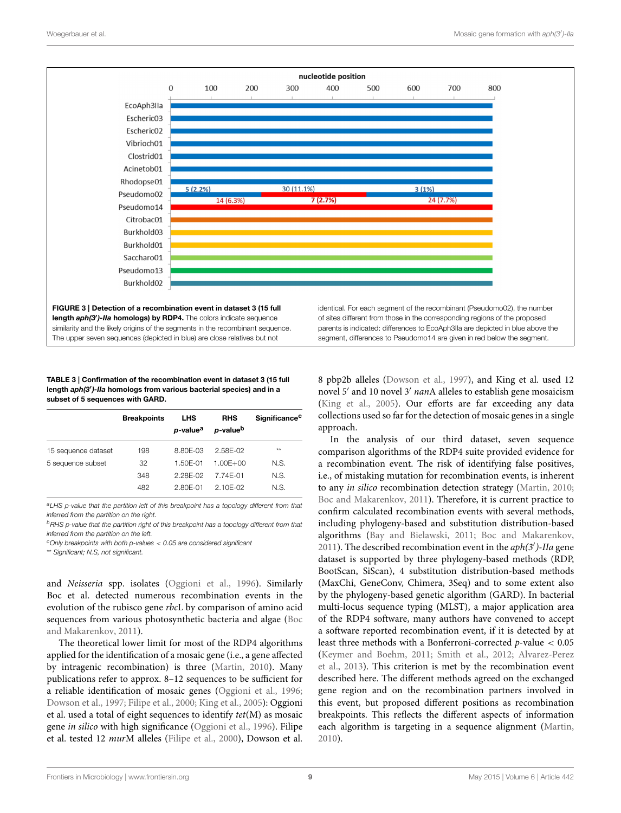

#### <span id="page-8-0"></span>TABLE 3 | Confirmation of the recombination event in dataset 3 (15 full length *aph(3*′ *)-IIa* homologs from various bacterial species) and in a subset of 5 sequences with GARD.

|                     | <b>Breakpoints</b> | <b>LHS</b><br>p-value <sup>a</sup> | <b>RHS</b><br>p-value <sup>b</sup> | Significance <sup>c</sup> |
|---------------------|--------------------|------------------------------------|------------------------------------|---------------------------|
| 15 sequence dataset | 198                | 8.80E-03                           | 258F-02                            | **                        |
| 5 sequence subset   | 32                 | 1.50E-01                           | $1.00E + 00$                       | N.S.                      |
|                     | 348                | 2.28E-02                           | 7 74F-01                           | N.S.                      |
|                     | 482                | 280F-01                            | 2 10F-02                           | N.S.                      |

<sup>a</sup>LHS p-value that the partition left of this breakpoint has a topology different from that inferred from the partition on the right.

<sup>b</sup>RHS p-value that the partition right of this breakpoint has a topology different from that inferred from the partition on the left.

 $c$ Only breakpoints with both p-values  $<$  0.05 are considered significant

\*\* Significant; N.S, not significant.

and Neisseria spp. isolates [\(Oggioni et al., 1996\)](#page-10-32). Similarly Boc et al. detected numerous recombination events in the evolution of the rubisco gene rbcL by comparison of amino acid sequences from various photosynthetic bacteria and algae (Boc and Makarenkov, [2011\)](#page-9-0).

The theoretical lower limit for most of the RDP4 algorithms applied for the identification of a mosaic gene (i.e., a gene affected by intragenic recombination) is three [\(Martin, 2010\)](#page-10-14). Many publications refer to approx. 8–12 sequences to be sufficient for a reliable identification of mosaic genes [\(Oggioni et al., 1996;](#page-10-32) [Dowson et al., 1997;](#page-10-0) [Filipe et al., 2000;](#page-10-37) [King et al., 2005\)](#page-10-38): Oggioni et al. used a total of eight sequences to identify tet(M) as mosaic gene in silico with high significance [\(Oggioni et al., 1996\)](#page-10-32). Filipe et al. tested 12 murM alleles [\(Filipe et al., 2000\)](#page-10-37), Dowson et al.

8 pbp2b alleles [\(Dowson et al., 1997\)](#page-10-0), and King et al. used 12 novel 5' and 10 novel 3' nanA alleles to establish gene mosaicism [\(King et al., 2005\)](#page-10-38). Our efforts are far exceeding any data collections used so far for the detection of mosaic genes in a single approach.

In the analysis of our third dataset, seven sequence comparison algorithms of the RDP4 suite provided evidence for a recombination event. The risk of identifying false positives, i.e., of mistaking mutation for recombination events, is inherent to any in silico recombination detection strategy [\(Martin, 2010;](#page-10-14) [Boc and Makarenkov, 2011\)](#page-9-0). Therefore, it is current practice to confirm calculated recombination events with several methods, including phylogeny-based and substitution distribution-based algorithms [\(Bay and Bielawski, 2011;](#page-9-9) [Boc and Makarenkov,](#page-9-0) [2011\)](#page-9-0). The described recombination event in the  $aph(3')$ -IIa gene dataset is supported by three phylogeny-based methods (RDP, BootScan, SiScan), 4 substitution distribution-based methods (MaxChi, GeneConv, Chimera, 3Seq) and to some extent also by the phylogeny-based genetic algorithm (GARD). In bacterial multi-locus sequence typing (MLST), a major application area of the RDP4 software, many authors have convened to accept a software reported recombination event, if it is detected by at least three methods with a Bonferroni-corrected  $p$ -value  $< 0.05$ [\(Keymer and Boehm, 2011;](#page-10-21) [Smith et al., 2012;](#page-11-10) Alvarez-Perez et al., [2013\)](#page-9-6). This criterion is met by the recombination event described here. The different methods agreed on the exchanged gene region and on the recombination partners involved in this event, but proposed different positions as recombination breakpoints. This reflects the different aspects of information each algorithm is targeting in a sequence alignment [\(Martin,](#page-10-14) [2010\)](#page-10-14).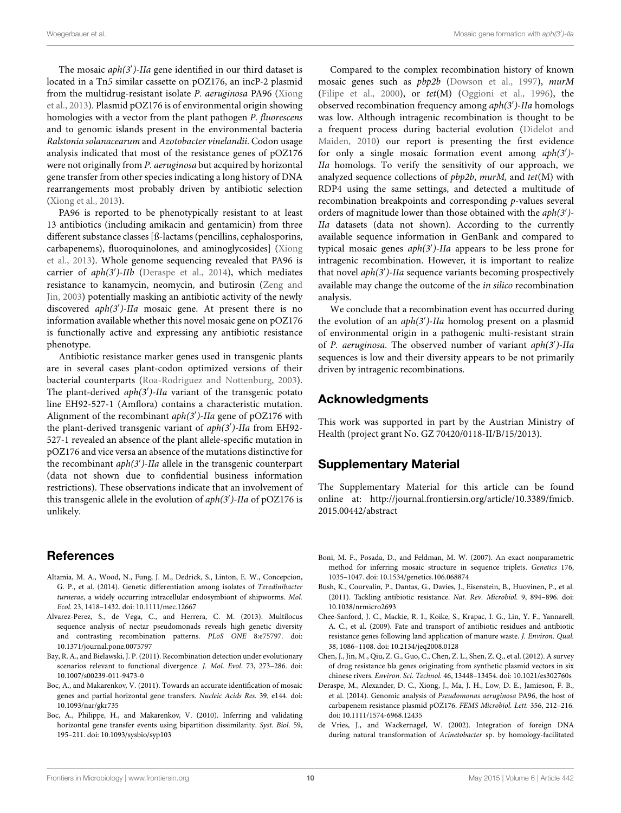The mosaic aph(3')-IIa gene identified in our third dataset is located in a Tn5 similar cassette on pOZ176, an incP-2 plasmid from the multidrug-resistant isolate P. aeruginosa PA96 (Xiong et al., [2013\)](#page-11-17). Plasmid pOZ176 is of environmental origin showing homologies with a vector from the plant pathogen P. fluorescens and to genomic islands present in the environmental bacteria Ralstonia solanacearum and Azotobacter vinelandii. Codon usage analysis indicated that most of the resistance genes of pOZ176 were not originally from P. aeruginosa but acquired by horizontal gene transfer from other species indicating a long history of DNA rearrangements most probably driven by antibiotic selection [\(Xiong et al., 2013\)](#page-11-17).

PA96 is reported to be phenotypically resistant to at least 13 antibiotics (including amikacin and gentamicin) from three different substance classes [ß-lactams (pencillins, cephalosporins, carbapenems), fluoroquinolones, and aminoglycosides] (Xiong et al., [2013\)](#page-11-17). Whole genome sequencing revealed that PA96 is carrier of aph(3')-IIb [\(Deraspe et al., 2014\)](#page-9-10), which mediates resistance to kanamycin, neomycin, and butirosin (Zeng and Jin, [2003\)](#page-11-18) potentially masking an antibiotic activity of the newly discovered aph(3')-IIa mosaic gene. At present there is no information available whether this novel mosaic gene on pOZ176 is functionally active and expressing any antibiotic resistance phenotype.

Antibiotic resistance marker genes used in transgenic plants are in several cases plant-codon optimized versions of their bacterial counterparts [\(Roa-Rodriguez and Nottenburg, 2003\)](#page-11-19). The plant-derived aph(3')-IIa variant of the transgenic potato line EH92-527-1 (Amflora) contains a characteristic mutation. Alignment of the recombinant aph(3')-IIa gene of pOZ176 with the plant-derived transgenic variant of  $aph(3')$ -IIa from EH92-527-1 revealed an absence of the plant allele-specific mutation in pOZ176 and vice versa an absence of the mutations distinctive for the recombinant *aph*(3')-IIa allele in the transgenic counterpart (data not shown due to confidential business information restrictions). These observations indicate that an involvement of this transgenic allele in the evolution of  $aph(3')$ -IIa of pOZ176 is unlikely.

# References

- <span id="page-9-7"></span>Altamia, M. A., Wood, N., Fung, J. M., Dedrick, S., Linton, E. W., Concepcion, G. P., et al. (2014). Genetic differentiation among isolates of Teredinibacter turnerae, a widely occurring intracellular endosymbiont of shipworms. Mol. Ecol. 23, 1418–1432. doi: 10.1111/mec.12667
- <span id="page-9-6"></span>Alvarez-Perez, S., de Vega, C., and Herrera, C. M. (2013). Multilocus sequence analysis of nectar pseudomonads reveals high genetic diversity and contrasting recombination patterns. PLoS ONE 8:e75797. doi: 10.1371/journal.pone.0075797
- <span id="page-9-9"></span>Bay, R. A., and Bielawski, J. P. (2011). Recombination detection under evolutionary scenarios relevant to functional divergence. J. Mol. Evol. 73, 273–286. doi: 10.1007/s00239-011-9473-0
- <span id="page-9-0"></span>Boc, A., and Makarenkov, V. (2011). Towards an accurate identification of mosaic genes and partial horizontal gene transfers. Nucleic Acids Res. 39, e144. doi: 10.1093/nar/gkr735
- <span id="page-9-4"></span>Boc, A., Philippe, H., and Makarenkov, V. (2010). Inferring and validating horizontal gene transfer events using bipartition dissimilarity. Syst. Biol. 59, 195–211. doi: 10.1093/sysbio/syp103

Compared to the complex recombination history of known mosaic genes such as  $pbp2b$  [\(Dowson et al., 1997\)](#page-10-0), murM [\(Filipe et al., 2000\)](#page-10-37), or tet(M) [\(Oggioni et al., 1996\)](#page-10-32), the observed recombination frequency among aph(3′ )-IIa homologs was low. Although intragenic recombination is thought to be a frequent process during bacterial evolution (Didelot and Maiden, [2010\)](#page-10-39) our report is presenting the first evidence for only a single mosaic formation event among aph(3')-IIa homologs. To verify the sensitivity of our approach, we analyzed sequence collections of  $pbp2b$ , murM, and  $tet(M)$  with RDP4 using the same settings, and detected a multitude of recombination breakpoints and corresponding p-values several orders of magnitude lower than those obtained with the aph(3')-IIa datasets (data not shown). According to the currently available sequence information in GenBank and compared to typical mosaic genes aph(3′ )-IIa appears to be less prone for intragenic recombination. However, it is important to realize that novel aph(3′ )-IIa sequence variants becoming prospectively available may change the outcome of the in silico recombination analysis.

We conclude that a recombination event has occurred during the evolution of an aph(3')-IIa homolog present on a plasmid of environmental origin in a pathogenic multi-resistant strain of P. aeruginosa. The observed number of variant aph(3')-IIa sequences is low and their diversity appears to be not primarily driven by intragenic recombinations.

# Acknowledgments

This work was supported in part by the Austrian Ministry of Health (project grant No. GZ 70420/0118-II/B/15/2013).

# Supplementary Material

The Supplementary Material for this article can be found online at: [http://journal.frontiersin.org/article/10.3389/fmicb.](http://journal.frontiersin.org/article/10.3389/fmicb.2015.00442/abstract) [2015.00442/abstract](http://journal.frontiersin.org/article/10.3389/fmicb.2015.00442/abstract)

- <span id="page-9-5"></span>Boni, M. F., Posada, D., and Feldman, M. W. (2007). An exact nonparametric method for inferring mosaic structure in sequence triplets. Genetics 176, 1035–1047. doi: 10.1534/genetics.106.068874
- <span id="page-9-2"></span>Bush, K., Courvalin, P., Dantas, G., Davies, J., Eisenstein, B., Huovinen, P., et al. (2011). Tackling antibiotic resistance. Nat. Rev. Microbiol. 9, 894–896. doi: 10.1038/nrmicro2693
- <span id="page-9-8"></span>Chee-Sanford, J. C., Mackie, R. I., Koike, S., Krapac, I. G., Lin, Y. F., Yannarell, A. C., et al. (2009). Fate and transport of antibiotic residues and antibiotic resistance genes following land application of manure waste. J. Environ. Qual. 38, 1086–1108. doi: 10.2134/jeq2008.0128
- <span id="page-9-3"></span>Chen, J., Jin, M., Qiu, Z. G., Guo, C., Chen, Z. L., Shen, Z. Q., et al. (2012). A survey of drug resistance bla genes originating from synthetic plasmid vectors in six chinese rivers. Environ. Sci. Technol. 46, 13448–13454. doi: 10.1021/es302760s
- <span id="page-9-10"></span>Deraspe, M., Alexander, D. C., Xiong, J., Ma, J. H., Low, D. E., Jamieson, F. B., et al. (2014). Genomic analysis of Pseudomonas aeruginosa PA96, the host of carbapenem resistance plasmid pOZ176. FEMS Microbiol. Lett. 356, 212–216. doi: 10.1111/1574-6968.12435
- <span id="page-9-1"></span>de Vries, J., and Wackernagel, W. (2002). Integration of foreign DNA during natural transformation of Acinetobacter sp. by homology-facilitated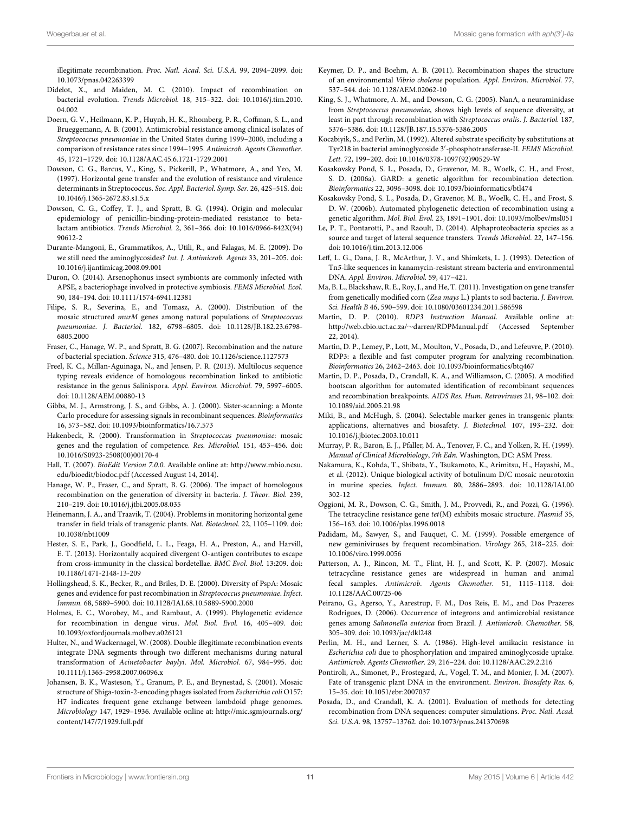illegitimate recombination. Proc. Natl. Acad. Sci. U.S.A. 99, 2094–2099. doi: 10.1073/pnas.042263399

- <span id="page-10-39"></span>Didelot, X., and Maiden, M. C. (2010). Impact of recombination on bacterial evolution. Trends Microbiol. 18, 315–322. doi: 10.1016/j.tim.2010. 04.002
- <span id="page-10-7"></span>Doern, G. V., Heilmann, K. P., Huynh, H. K., Rhomberg, P. R., Coffman, S. L., and Brueggemann, A. B. (2001). Antimicrobial resistance among clinical isolates of Streptococcus pneumoniae in the United States during 1999–2000, including a comparison of resistance rates since 1994–1995. Antimicrob. Agents Chemother. 45, 1721–1729. doi: 10.1128/AAC.45.6.1721-1729.2001
- <span id="page-10-0"></span>Dowson, C. G., Barcus, V., King, S., Pickerill, P., Whatmore, A., and Yeo, M. (1997). Horizontal gene transfer and the evolution of resistance and virulence determinants in Streptococcus. Soc. Appl. Bacteriol. Symp. Ser. 26, 42S–51S. doi: 10.1046/j.1365-2672.83.s1.5.x
- <span id="page-10-5"></span>Dowson, C. G., Coffey, T. J., and Spratt, B. G. (1994). Origin and molecular epidemiology of penicillin-binding-protein-mediated resistance to betalactam antibiotics. Trends Microbiol. 2, 361–366. doi: 10.1016/0966-842X(94) 90612-2
- <span id="page-10-27"></span>Durante-Mangoni, E., Grammatikos, A., Utili, R., and Falagas, M. E. (2009). Do we still need the aminoglycosides? Int. J. Antimicrob. Agents 33, 201–205. doi: 10.1016/j.ijantimicag.2008.09.001
- <span id="page-10-24"></span>Duron, O. (2014). Arsenophonus insect symbionts are commonly infected with APSE, a bacteriophage involved in protective symbiosis. FEMS Microbiol. Ecol. 90, 184–194. doi: 10.1111/1574-6941.12381
- <span id="page-10-37"></span>Filipe, S. R., Severina, E., and Tomasz, A. (2000). Distribution of the mosaic structured murM genes among natural populations of Streptococcus pneumoniae. J. Bacteriol. 182, 6798–6805. doi: 10.1128/JB.182.23.6798- 6805.2000
- <span id="page-10-2"></span>Fraser, C., Hanage, W. P., and Spratt, B. G. (2007). Recombination and the nature of bacterial speciation. Science 315, 476–480. doi: 10.1126/science.1127573
- <span id="page-10-22"></span>Freel, K. C., Millan-Aguinaga, N., and Jensen, P. R. (2013). Multilocus sequence typing reveals evidence of homologous recombination linked to antibiotic resistance in the genus Salinispora. Appl. Environ. Microbiol. 79, 5997–6005. doi: 10.1128/AEM.00880-13
- <span id="page-10-19"></span>Gibbs, M. J., Armstrong, J. S., and Gibbs, A. J. (2000). Sister-scanning: a Monte Carlo procedure for assessing signals in recombinant sequences. Bioinformatics 16, 573–582. doi: 10.1093/bioinformatics/16.7.573
- <span id="page-10-33"></span>Hakenbeck, R. (2000). Transformation in Streptococcus pneumoniae: mosaic genes and the regulation of competence. Res. Microbiol. 151, 453–456. doi: 10.1016/S0923-2508(00)00170-4
- <span id="page-10-15"></span>Hall, T. (2007). BioEdit Version 7.0.0. Available online at: [http://www.mbio.ncsu.](http://www.mbio.ncsu.edu/bioedit/biodoc.pdf) [edu/bioedit/biodoc.pdf](http://www.mbio.ncsu.edu/bioedit/biodoc.pdf) (Accessed August 14, 2014).
- <span id="page-10-1"></span>Hanage, W. P., Fraser, C., and Spratt, B. G. (2006). The impact of homologous recombination on the generation of diversity in bacteria. J. Theor. Biol. 239, 210–219. doi: 10.1016/j.jtbi.2005.08.035
- <span id="page-10-4"></span>Heinemann, J. A., and Traavik, T. (2004). Problems in monitoring horizontal gene transfer in field trials of transgenic plants. Nat. Biotechnol. 22, 1105–1109. doi: 10.1038/nbt1009
- <span id="page-10-23"></span>Hester, S. E., Park, J., Goodfield, L. L., Feaga, H. A., Preston, A., and Harvill, E. T. (2013). Horizontally acquired divergent O-antigen contributes to escape from cross-immunity in the classical bordetellae. BMC Evol. Biol. 13:209. doi: 10.1186/1471-2148-13-209
- <span id="page-10-34"></span>Hollingshead, S. K., Becker, R., and Briles, D. E. (2000). Diversity of PspA: Mosaic genes and evidence for past recombination in Streptococcus pneumoniae. Infect. Immun. 68, 5889–5900. doi: 10.1128/IAI.68.10.5889-5900.2000
- <span id="page-10-20"></span>Holmes, E. C., Worobey, M., and Rambaut, A. (1999). Phylogenetic evidence for recombination in dengue virus. Mol. Biol. Evol. 16, 405–409. doi: 10.1093/oxfordjournals.molbev.a026121
- <span id="page-10-3"></span>Hulter, N., and Wackernagel, W. (2008). Double illegitimate recombination events integrate DNA segments through two different mechanisms during natural transformation of Acinetobacter baylyi. Mol. Microbiol. 67, 984–995. doi: 10.1111/j.1365-2958.2007.06096.x
- <span id="page-10-35"></span>Johansen, B. K., Wasteson, Y., Granum, P. E., and Brynestad, S. (2001). Mosaic structure of Shiga-toxin-2-encoding phages isolated from Escherichia coli O157: H7 indicates frequent gene exchange between lambdoid phage genomes. Microbiology 147, 1929–1936. Available online at: [http://mic.sgmjournals.org/](http://mic.sgmjournals.org/content/147/7/1929.full.pdf) [content/147/7/1929.full.pdf](http://mic.sgmjournals.org/content/147/7/1929.full.pdf)
- <span id="page-10-21"></span>Keymer, D. P., and Boehm, A. B. (2011). Recombination shapes the structure of an environmental Vibrio cholerae population. Appl. Environ. Microbiol. 77, 537–544. doi: 10.1128/AEM.02062-10
- <span id="page-10-38"></span>King, S. J., Whatmore, A. M., and Dowson, C. G. (2005). NanA, a neuraminidase from Streptococcus pneumoniae, shows high levels of sequence diversity, at least in part through recombination with Streptococcus oralis. J. Bacteriol. 187, 5376–5386. doi: 10.1128/JB.187.15.5376-5386.2005
- <span id="page-10-28"></span>Kocabiyik, S., and Perlin, M. (1992). Altered substrate specificity by substitutions at Tyr218 in bacterial aminoglycoside 3′ -phosphotransferase-II. FEMS Microbiol. Lett. 72, 199–202. doi: 10.1016/0378-1097(92)90529-W
- <span id="page-10-13"></span>Kosakovsky Pond, S. L., Posada, D., Gravenor, M. B., Woelk, C. H., and Frost, S. D. (2006a). GARD: a genetic algorithm for recombination detection. Bioinformatics 22, 3096–3098. doi: 10.1093/bioinformatics/btl474
- <span id="page-10-25"></span>Kosakovsky Pond, S. L., Posada, D., Gravenor, M. B., Woelk, C. H., and Frost, S. D. W. (2006b). Automated phylogenetic detection of recombination using a genetic algorithm. Mol. Biol. Evol. 23, 1891–1901. doi: 10.1093/molbev/msl051
- <span id="page-10-12"></span>Le, P. T., Pontarotti, P., and Raoult, D. (2014). Alphaproteobacteria species as a source and target of lateral sequence transfers. Trends Microbiol. 22, 147–156. doi: 10.1016/j.tim.2013.12.006
- <span id="page-10-30"></span>Leff, L. G., Dana, J. R., McArthur, J. V., and Shimkets, L. J. (1993). Detection of Tn5-like sequences in kanamycin-resistant stream bacteria and environmental DNA. Appl. Environ. Microbiol. 59, 417–421.
- <span id="page-10-31"></span>Ma, B. L., Blackshaw, R. E., Roy, J., and He, T. (2011). Investigation on gene transfer from genetically modified corn (Zea mays L.) plants to soil bacteria. J. Environ. Sci. Health B 46, 590–599. doi: 10.1080/03601234.2011.586598
- <span id="page-10-14"></span>Martin, D. P. (2010). RDP3 Instruction Manual. Available online at: [http://web.cbio.uct.ac.za/](http://web.cbio.uct.ac.za/~darren/RDPManual.pdf)∼darren/RDPManual.pdf (Accessed September 22, 2014).
- <span id="page-10-11"></span>Martin, D. P., Lemey, P., Lott, M., Moulton, V., Posada, D., and Lefeuvre, P. (2010). RDP3: a flexible and fast computer program for analyzing recombination. Bioinformatics 26, 2462–2463. doi: 10.1093/bioinformatics/btq467
- <span id="page-10-16"></span>Martin, D. P., Posada, D., Crandall, K. A., and Williamson, C. (2005). A modified bootscan algorithm for automated identification of recombinant sequences and recombination breakpoints. AIDS Res. Hum. Retroviruses 21, 98–102. doi: 10.1089/aid.2005.21.98
- <span id="page-10-8"></span>Miki, B., and McHugh, S. (2004). Selectable marker genes in transgenic plants: applications, alternatives and biosafety. J. Biotechnol. 107, 193–232. doi: 10.1016/j.jbiotec.2003.10.011
- <span id="page-10-26"></span>Murray, P. R., Baron, E. J., Pfaller, M. A., Tenover, F. C., and Yolken, R. H. (1999). Manual of Clinical Microbiology, 7th Edn. Washington, DC: ASM Press.
- <span id="page-10-36"></span>Nakamura, K., Kohda, T., Shibata, Y., Tsukamoto, K., Arimitsu, H., Hayashi, M., et al. (2012). Unique biological activity of botulinum D/C mosaic neurotoxin in murine species. Infect. Immun. 80, 2886–2893. doi: 10.1128/IAI.00 302-12
- <span id="page-10-32"></span>Oggioni, M. R., Dowson, C. G., Smith, J. M., Provvedi, R., and Pozzi, G. (1996). The tetracycline resistance gene tet(M) exhibits mosaic structure. Plasmid 35, 156–163. doi: 10.1006/plas.1996.0018
- <span id="page-10-18"></span>Padidam, M., Sawyer, S., and Fauquet, C. M. (1999). Possible emergence of new geminiviruses by frequent recombination. Virology 265, 218–225. doi: 10.1006/viro.1999.0056
- <span id="page-10-6"></span>Patterson, A. J., Rincon, M. T., Flint, H. J., and Scott, K. P. (2007). Mosaic tetracycline resistance genes are widespread in human and animal fecal samples. Antimicrob. Agents Chemother. 51, 1115–1118. doi: 10.1128/AAC.00725-06
- <span id="page-10-29"></span>Peirano, G., Agerso, Y., Aarestrup, F. M., Dos Reis, E. M., and Dos Prazeres Rodrigues, D. (2006). Occurrence of integrons and antimicrobial resistance genes among Salmonella enterica from Brazil. J. Antimicrob. Chemother. 58, 305–309. doi: 10.1093/jac/dkl248
- <span id="page-10-10"></span>Perlin, M. H., and Lerner, S. A. (1986). High-level amikacin resistance in Escherichia coli due to phosphorylation and impaired aminoglycoside uptake. Antimicrob. Agents Chemother. 29, 216–224. doi: 10.1128/AAC.29.2.216
- <span id="page-10-9"></span>Pontiroli, A., Simonet, P., Frostegard, A., Vogel, T. M., and Monier, J. M. (2007). Fate of transgenic plant DNA in the environment. Environ. Biosafety Res. 6, 15–35. doi: 10.1051/ebr:2007037
- <span id="page-10-17"></span>Posada, D., and Crandall, K. A. (2001). Evaluation of methods for detecting recombination from DNA sequences: computer simulations. Proc. Natl. Acad. Sci. U.S.A. 98, 13757–13762. doi: 10.1073/pnas.241370698